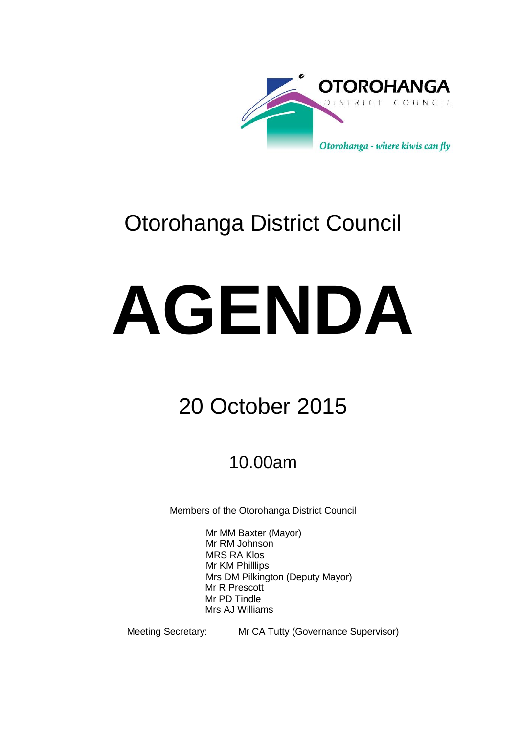

# Otorohanga District Council

# **AGENDA**

# 20 October 2015

# 10.00am

Members of the Otorohanga District Council

Mr MM Baxter (Mayor) Mr RM Johnson MRS RA Klos Mr KM Philllips Mrs DM Pilkington (Deputy Mayor) Mr R Prescott Mr PD Tindle Mrs AJ Williams

Meeting Secretary: Mr CA Tutty (Governance Supervisor)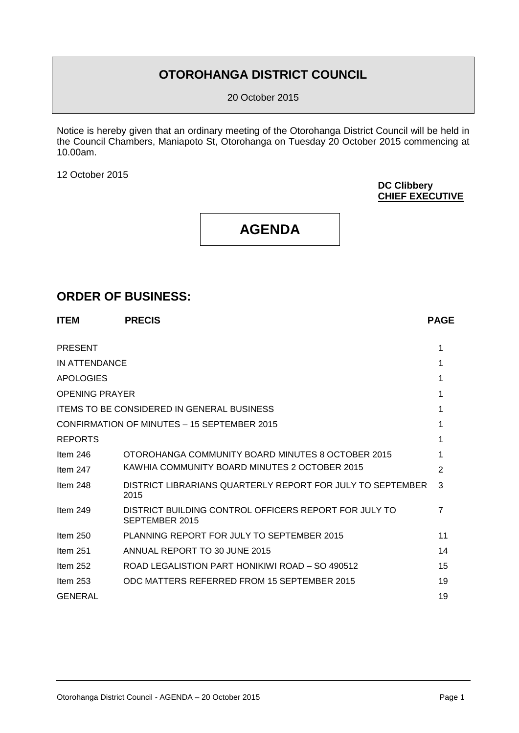## **OTOROHANGA DISTRICT COUNCIL**

20 October 2015

Notice is hereby given that an ordinary meeting of the Otorohanga District Council will be held in the Council Chambers, Maniapoto St, Otorohanga on Tuesday 20 October 2015 commencing at 10.00am.

12 October 2015

**DC Clibbery CHIEF EXECUTIVE**

## **AGENDA**

#### **ORDER OF BUSINESS:**

| <b>ITEM</b>           | <b>PRECIS</b>                                                           | <b>PAGE</b>    |
|-----------------------|-------------------------------------------------------------------------|----------------|
| <b>PRESENT</b>        |                                                                         | 1              |
| IN ATTENDANCE         |                                                                         | 1              |
| <b>APOLOGIES</b>      |                                                                         | 1              |
| <b>OPENING PRAYER</b> |                                                                         |                |
|                       | <b>ITEMS TO BE CONSIDERED IN GENERAL BUSINESS</b>                       |                |
|                       | CONFIRMATION OF MINUTES - 15 SEPTEMBER 2015                             |                |
| <b>REPORTS</b>        |                                                                         |                |
| Item $246$            | OTOROHANGA COMMUNITY BOARD MINUTES 8 OCTOBER 2015                       |                |
| Item $247$            | KAWHIA COMMUNITY BOARD MINUTES 2 OCTOBER 2015                           | $\overline{2}$ |
| Item $248$            | DISTRICT LIBRARIANS QUARTERLY REPORT FOR JULY TO SEPTEMBER<br>2015      | 3              |
| Item $249$            | DISTRICT BUILDING CONTROL OFFICERS REPORT FOR JULY TO<br>SEPTEMBER 2015 | 7              |
| Item $250$            | PLANNING REPORT FOR JULY TO SEPTEMBER 2015                              | 11             |
| Item $251$            | ANNUAL REPORT TO 30 JUNE 2015                                           | 14             |
| Item 252              | ROAD LEGALISTION PART HONIKIWI ROAD - SO 490512                         | 15             |
| Item $253$            | ODC MATTERS REFERRED FROM 15 SEPTEMBER 2015                             | 19             |
| <b>GENERAL</b>        |                                                                         | 19             |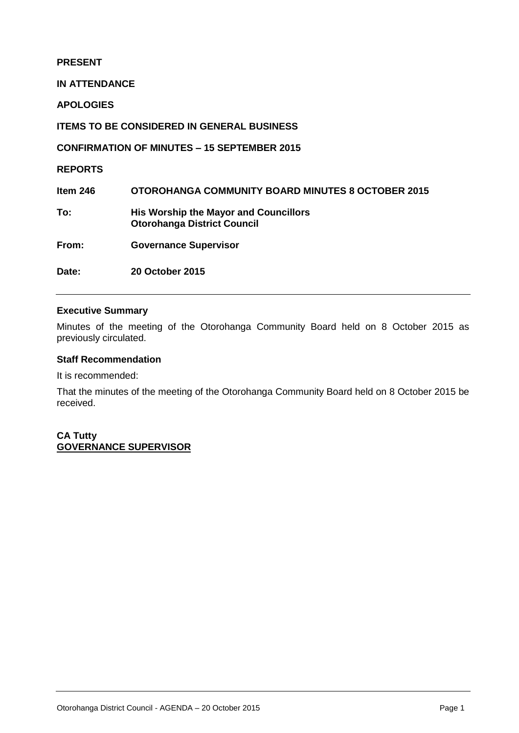#### **PRESENT**

**IN ATTENDANCE**

**APOLOGIES**

**ITEMS TO BE CONSIDERED IN GENERAL BUSINESS**

**CONFIRMATION OF MINUTES – 15 SEPTEMBER 2015**

**REPORTS**

**Item 246 OTOROHANGA COMMUNITY BOARD MINUTES 8 OCTOBER 2015**

**To: His Worship the Mayor and Councillors Otorohanga District Council**

**From: Governance Supervisor**

**Date: 20 October 2015** 

#### **Executive Summary**

Minutes of the meeting of the Otorohanga Community Board held on 8 October 2015 as previously circulated.

#### **Staff Recommendation**

It is recommended:

That the minutes of the meeting of the Otorohanga Community Board held on 8 October 2015 be received.

**CA Tutty GOVERNANCE SUPERVISOR**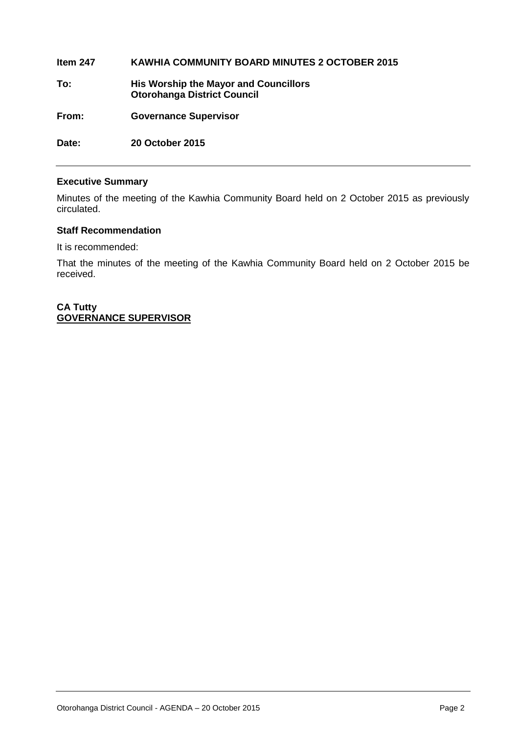**Item 247 KAWHIA COMMUNITY BOARD MINUTES 2 OCTOBER 2015 To: His Worship the Mayor and Councillors Otorohanga District Council From: Governance Supervisor Date: 20 October 2015** 

#### **Executive Summary**

Minutes of the meeting of the Kawhia Community Board held on 2 October 2015 as previously circulated.

#### **Staff Recommendation**

It is recommended:

That the minutes of the meeting of the Kawhia Community Board held on 2 October 2015 be received.

**CA Tutty GOVERNANCE SUPERVISOR**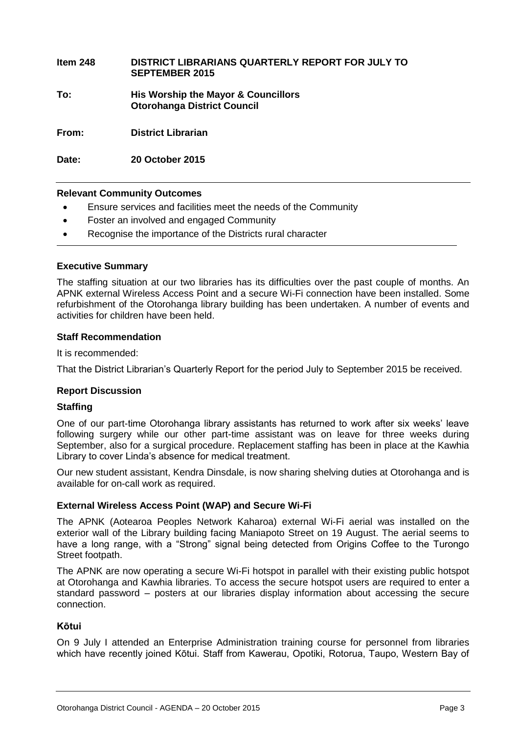**Item 248 DISTRICT LIBRARIANS QUARTERLY REPORT FOR JULY TO SEPTEMBER 2015 To: His Worship the Mayor & Councillors Otorohanga District Council From: District Librarian**

**Date: 20 October 2015**

#### **Relevant Community Outcomes**

- Ensure services and facilities meet the needs of the Community
- Foster an involved and engaged Community
- Recognise the importance of the Districts rural character

#### **Executive Summary**

The staffing situation at our two libraries has its difficulties over the past couple of months. An APNK external Wireless Access Point and a secure Wi-Fi connection have been installed. Some refurbishment of the Otorohanga library building has been undertaken. A number of events and activities for children have been held.

#### **Staff Recommendation**

It is recommended:

That the District Librarian's Quarterly Report for the period July to September 2015 be received.

#### **Report Discussion**

#### **Staffing**

One of our part-time Otorohanga library assistants has returned to work after six weeks' leave following surgery while our other part-time assistant was on leave for three weeks during September, also for a surgical procedure. Replacement staffing has been in place at the Kawhia Library to cover Linda's absence for medical treatment.

Our new student assistant, Kendra Dinsdale, is now sharing shelving duties at Otorohanga and is available for on-call work as required.

#### **External Wireless Access Point (WAP) and Secure Wi-Fi**

The APNK (Aotearoa Peoples Network Kaharoa) external Wi-Fi aerial was installed on the exterior wall of the Library building facing Maniapoto Street on 19 August. The aerial seems to have a long range, with a "Strong" signal being detected from Origins Coffee to the Turongo Street footpath.

The APNK are now operating a secure Wi-Fi hotspot in parallel with their existing public hotspot at Otorohanga and Kawhia libraries. To access the secure hotspot users are required to enter a standard password – posters at our libraries display information about accessing the secure connection.

#### **Kōtui**

On 9 July I attended an Enterprise Administration training course for personnel from libraries which have recently joined Kōtui. Staff from Kawerau, Opotiki, Rotorua, Taupo, Western Bay of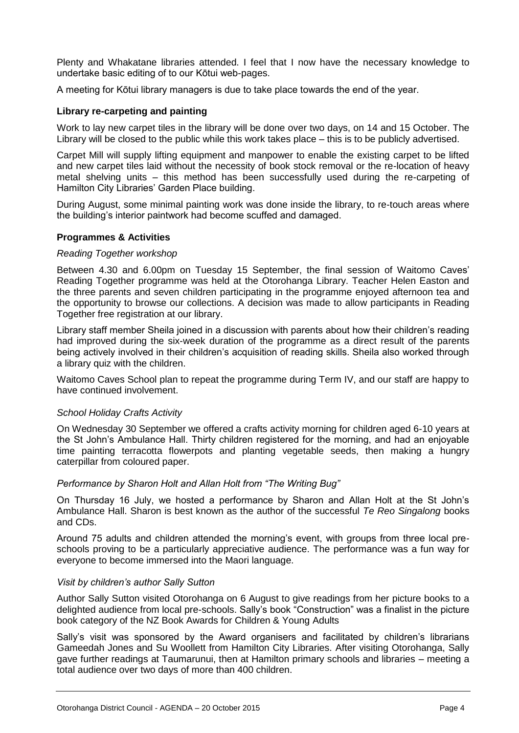Plenty and Whakatane libraries attended. I feel that I now have the necessary knowledge to undertake basic editing of to our Kōtui web-pages.

A meeting for Kōtui library managers is due to take place towards the end of the year.

#### **Library re-carpeting and painting**

Work to lay new carpet tiles in the library will be done over two days, on 14 and 15 October. The Library will be closed to the public while this work takes place – this is to be publicly advertised.

Carpet Mill will supply lifting equipment and manpower to enable the existing carpet to be lifted and new carpet tiles laid without the necessity of book stock removal or the re-location of heavy metal shelving units – this method has been successfully used during the re-carpeting of Hamilton City Libraries' Garden Place building.

During August, some minimal painting work was done inside the library, to re-touch areas where the building's interior paintwork had become scuffed and damaged.

#### **Programmes & Activities**

#### *Reading Together workshop*

Between 4.30 and 6.00pm on Tuesday 15 September, the final session of Waitomo Caves' Reading Together programme was held at the Otorohanga Library. Teacher Helen Easton and the three parents and seven children participating in the programme enjoyed afternoon tea and the opportunity to browse our collections. A decision was made to allow participants in Reading Together free registration at our library.

Library staff member Sheila joined in a discussion with parents about how their children's reading had improved during the six-week duration of the programme as a direct result of the parents being actively involved in their children's acquisition of reading skills. Sheila also worked through a library quiz with the children.

Waitomo Caves School plan to repeat the programme during Term IV, and our staff are happy to have continued involvement.

#### *School Holiday Crafts Activity*

On Wednesday 30 September we offered a crafts activity morning for children aged 6-10 years at the St John's Ambulance Hall. Thirty children registered for the morning, and had an enjoyable time painting terracotta flowerpots and planting vegetable seeds, then making a hungry caterpillar from coloured paper.

#### *Performance by Sharon Holt and Allan Holt from "The Writing Bug"*

On Thursday 16 July, we hosted a performance by Sharon and Allan Holt at the St John's Ambulance Hall. Sharon is best known as the author of the successful *Te Reo Singalong* books and CDs.

Around 75 adults and children attended the morning's event, with groups from three local preschools proving to be a particularly appreciative audience. The performance was a fun way for everyone to become immersed into the Maori language.

#### *Visit by children's author Sally Sutton*

Author Sally Sutton visited Otorohanga on 6 August to give readings from her picture books to a delighted audience from local pre-schools. Sally's book "Construction" was a finalist in the picture book category of the NZ Book Awards for Children & Young Adults

Sally's visit was sponsored by the Award organisers and facilitated by children's librarians Gameedah Jones and Su Woollett from Hamilton City Libraries. After visiting Otorohanga, Sally gave further readings at Taumarunui, then at Hamilton primary schools and libraries – meeting a total audience over two days of more than 400 children.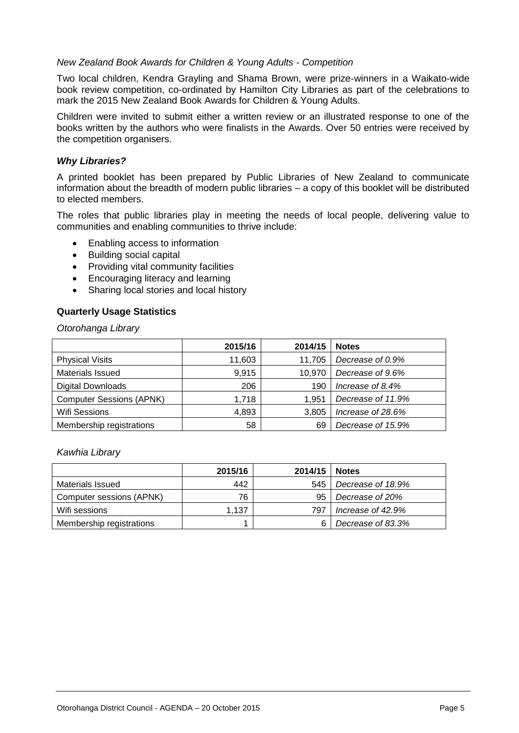#### *New Zealand Book Awards for Children & Young Adults - Competition*

Two local children, Kendra Grayling and Shama Brown, were prize-winners in a Waikato-wide book review competition, co-ordinated by Hamilton City Libraries as part of the celebrations to mark the 2015 New Zealand Book Awards for Children & Young Adults.

Children were invited to submit either a written review or an illustrated response to one of the books written by the authors who were finalists in the Awards. Over 50 entries were received by the competition organisers.

#### *Why Libraries?*

A printed booklet has been prepared by Public Libraries of New Zealand to communicate information about the breadth of modern public libraries – a copy of this booklet will be distributed to elected members.

The roles that public libraries play in meeting the needs of local people, delivering value to communities and enabling communities to thrive include:

- Enabling access to information
- Building social capital
- Providing vital community facilities
- Encouraging literacy and learning
- Sharing local stories and local history

#### **Quarterly Usage Statistics**

*Otorohanga Library* 

|                                 | 2015/16 | 2014/15 | <b>Notes</b>      |
|---------------------------------|---------|---------|-------------------|
| <b>Physical Visits</b>          | 11,603  | 11.705  | Decrease of 0.9%  |
| <b>Materials Issued</b>         | 9,915   | 10,970  | Decrease of 9.6%  |
| <b>Digital Downloads</b>        | 206     | 190     | Increase of 8.4%  |
| <b>Computer Sessions (APNK)</b> | 1,718   | 1.951   | Decrease of 11.9% |
| <b>Wifi Sessions</b>            | 4,893   | 3,805   | Increase of 28.6% |
| Membership registrations        | 58      | 69      | Decrease of 15.9% |

#### *Kawhia Library*

|                          | 2015/16 | 2014/15 | <b>Notes</b>      |
|--------------------------|---------|---------|-------------------|
| Materials Issued         | 442     | 545     | Decrease of 18.9% |
| Computer sessions (APNK) | 76      | 95      | Decrease of 20%   |
| Wifi sessions            | 1.137   | 797     | Increase of 42.9% |
| Membership registrations |         |         | Decrease of 83.3% |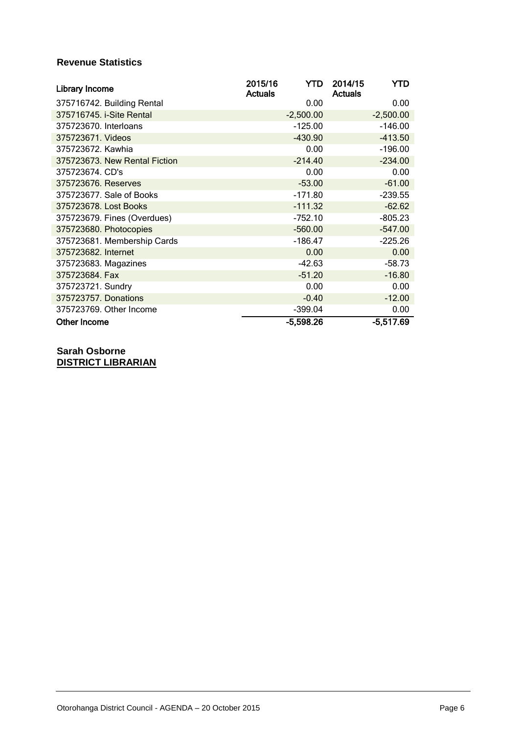#### **Revenue Statistics**

| Library Income                | 2015/16<br><b>Actuals</b> | YTD.        | 2014/15<br><b>Actuals</b> | YTD         |
|-------------------------------|---------------------------|-------------|---------------------------|-------------|
| 375716742. Building Rental    |                           | 0.00        |                           | 0.00        |
| 375716745. i-Site Rental      |                           | $-2,500.00$ |                           | $-2,500.00$ |
| 375723670. Interloans         |                           | $-125.00$   |                           | $-146.00$   |
| 375723671. Videos             |                           | $-430.90$   |                           | $-413.50$   |
| 375723672. Kawhia             |                           | 0.00        |                           | $-196.00$   |
| 375723673. New Rental Fiction |                           | $-214.40$   |                           | $-234.00$   |
| 375723674. CD's               |                           | 0.00        |                           | 0.00        |
| 375723676. Reserves           |                           | $-53.00$    |                           | $-61.00$    |
| 375723677. Sale of Books      |                           | $-171.80$   |                           | $-239.55$   |
| 375723678. Lost Books         |                           | $-111.32$   |                           | $-62.62$    |
| 375723679. Fines (Overdues)   |                           | $-752.10$   |                           | $-805.23$   |
| 375723680. Photocopies        |                           | $-560.00$   |                           | $-547.00$   |
| 375723681. Membership Cards   |                           | -186.47     |                           | $-225.26$   |
| 375723682. Internet           |                           | 0.00        |                           | 0.00        |
| 375723683. Magazines          |                           | $-42.63$    |                           | $-58.73$    |
| 375723684. Fax                |                           | $-51.20$    |                           | $-16.80$    |
| 375723721. Sundry             |                           | 0.00        |                           | 0.00        |
| 375723757. Donations          |                           | $-0.40$     |                           | $-12.00$    |
| 375723769. Other Income       |                           | $-399.04$   |                           | 0.00        |
| <b>Other Income</b>           |                           | $-5,598.26$ |                           | $-5,517.69$ |

**Sarah Osborne DISTRICT LIBRARIAN**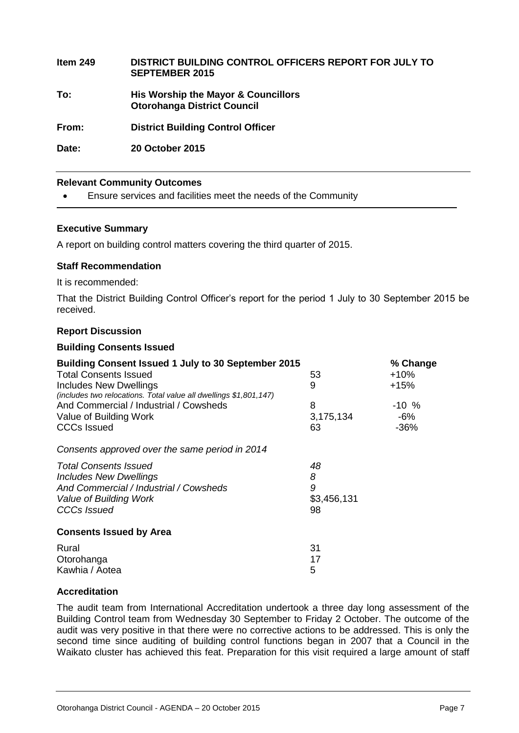**Item 249 DISTRICT BUILDING CONTROL OFFICERS REPORT FOR JULY TO SEPTEMBER 2015 To: His Worship the Mayor & Councillors Otorohanga District Council From: District Building Control Officer Date: 20 October 2015**

#### **Relevant Community Outcomes**

Ensure services and facilities meet the needs of the Community

#### **Executive Summary**

A report on building control matters covering the third quarter of 2015.

#### **Staff Recommendation**

It is recommended:

That the District Building Control Officer's report for the period 1 July to 30 September 2015 be received.

#### **Report Discussion**

#### **Building Consents Issued**

| <b>Building Consent Issued 1 July to 30 September 2015</b>                                         |             | % Change |
|----------------------------------------------------------------------------------------------------|-------------|----------|
| <b>Total Consents Issued</b>                                                                       | 53          | $+10%$   |
| <b>Includes New Dwellings</b><br>(includes two relocations. Total value all dwellings \$1,801,147) | 9           | +15%     |
| And Commercial / Industrial / Cowsheds                                                             | 8           | $-10\%$  |
| Value of Building Work                                                                             | 3,175,134   | $-6%$    |
| <b>CCCs Issued</b>                                                                                 | 63          | $-36%$   |
| Consents approved over the same period in 2014                                                     |             |          |
| <b>Total Consents Issued</b>                                                                       | 48          |          |
| <b>Includes New Dwellings</b>                                                                      | 8           |          |
| And Commercial / Industrial / Cowsheds                                                             | 9           |          |
| Value of Building Work                                                                             | \$3,456,131 |          |
| CCCs Issued                                                                                        | 98          |          |
| <b>Consents Issued by Area</b>                                                                     |             |          |
| Rural                                                                                              | 31          |          |
| Otorohanga                                                                                         | 17          |          |
| Kawhia / Aotea                                                                                     | 5           |          |

#### **Accreditation**

The audit team from International Accreditation undertook a three day long assessment of the Building Control team from Wednesday 30 September to Friday 2 October. The outcome of the audit was very positive in that there were no corrective actions to be addressed. This is only the second time since auditing of building control functions began in 2007 that a Council in the Waikato cluster has achieved this feat. Preparation for this visit required a large amount of staff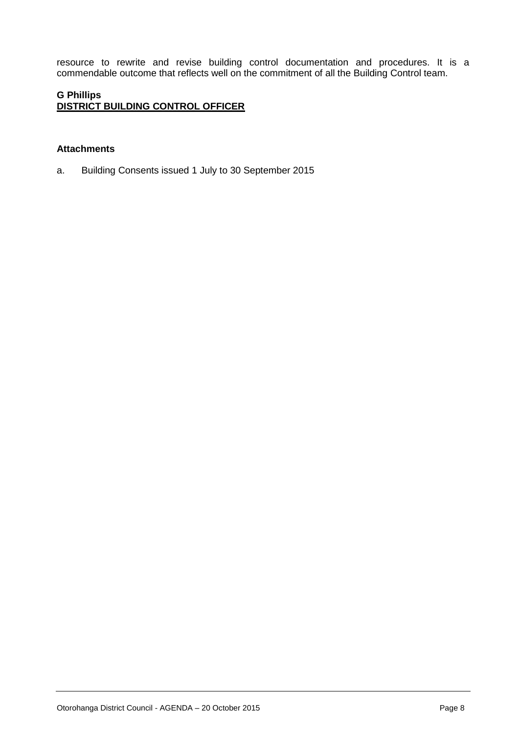resource to rewrite and revise building control documentation and procedures. It is a commendable outcome that reflects well on the commitment of all the Building Control team.

#### **G Phillips DISTRICT BUILDING CONTROL OFFICER**

#### **Attachments**

a. Building Consents issued 1 July to 30 September 2015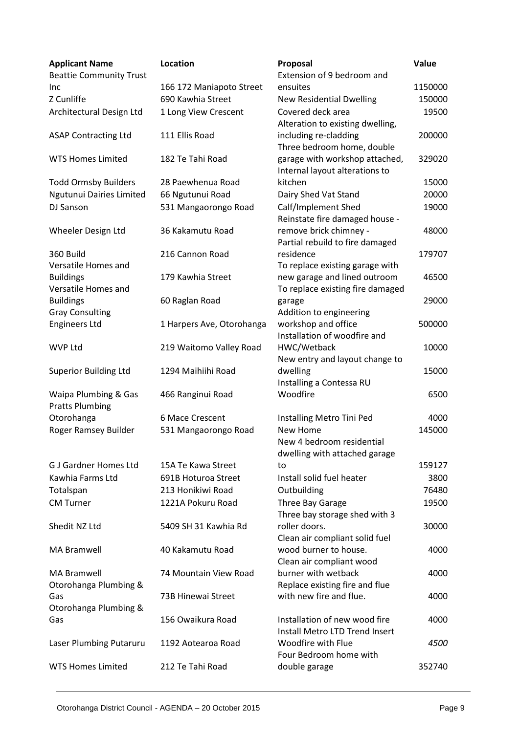| <b>Applicant Name</b><br><b>Beattie Community Trust</b> | <b>Location</b>           | Proposal<br>Extension of 9 bedroom and                                 | Value       |
|---------------------------------------------------------|---------------------------|------------------------------------------------------------------------|-------------|
| Inc                                                     | 166 172 Maniapoto Street  | ensuites                                                               | 1150000     |
| Z Cunliffe                                              | 690 Kawhia Street         | <b>New Residential Dwelling</b>                                        | 150000      |
| Architectural Design Ltd                                | 1 Long View Crescent      | Covered deck area<br>Alteration to existing dwelling,                  | 19500       |
| <b>ASAP Contracting Ltd</b>                             | 111 Ellis Road            | including re-cladding<br>Three bedroom home, double                    | 200000      |
| <b>WTS Homes Limited</b>                                | 182 Te Tahi Road          | garage with workshop attached,<br>Internal layout alterations to       | 329020      |
| <b>Todd Ormsby Builders</b>                             | 28 Paewhenua Road         | kitchen                                                                | 15000       |
| Ngutunui Dairies Limited                                | 66 Ngutunui Road          | Dairy Shed Vat Stand                                                   | 20000       |
| DJ Sanson                                               | 531 Mangaorongo Road      | Calf/Implement Shed<br>Reinstate fire damaged house -                  | 19000       |
| Wheeler Design Ltd                                      | 36 Kakamutu Road          | remove brick chimney -<br>Partial rebuild to fire damaged              | 48000       |
| 360 Build<br>Versatile Homes and                        | 216 Cannon Road           | residence<br>To replace existing garage with                           | 179707      |
| <b>Buildings</b><br>Versatile Homes and                 | 179 Kawhia Street         | new garage and lined outroom<br>To replace existing fire damaged       | 46500       |
| <b>Buildings</b><br><b>Gray Consulting</b>              | 60 Raglan Road            | garage<br>Addition to engineering                                      | 29000       |
| <b>Engineers Ltd</b>                                    | 1 Harpers Ave, Otorohanga | workshop and office<br>Installation of woodfire and                    | 500000      |
| <b>WVP Ltd</b>                                          | 219 Waitomo Valley Road   | HWC/Wetback<br>New entry and layout change to                          | 10000       |
| <b>Superior Building Ltd</b>                            | 1294 Maihiihi Road        | dwelling<br>Installing a Contessa RU                                   | 15000       |
| Waipa Plumbing & Gas<br><b>Pratts Plumbing</b>          | 466 Ranginui Road         | Woodfire                                                               | 6500        |
| Otorohanga                                              | 6 Mace Crescent           | Installing Metro Tini Ped                                              | 4000        |
| Roger Ramsey Builder                                    | 531 Mangaorongo Road      | New Home<br>New 4 bedroom residential<br>dwelling with attached garage | 145000      |
| <b>G J Gardner Homes Ltd</b>                            | 15A Te Kawa Street        | to                                                                     | 159127      |
| Kawhia Farms Ltd                                        | 691B Hoturoa Street       | Install solid fuel heater                                              | 3800        |
| Totalspan                                               | 213 Honikiwi Road         | Outbuilding                                                            | 76480       |
| <b>CM Turner</b>                                        | 1221A Pokuru Road         | Three Bay Garage<br>Three bay storage shed with 3                      | 19500       |
| Shedit NZ Ltd                                           | 5409 SH 31 Kawhia Rd      | roller doors.<br>Clean air compliant solid fuel                        | 30000       |
| <b>MA Bramwell</b>                                      | 40 Kakamutu Road          | wood burner to house.<br>Clean air compliant wood                      | 4000        |
| <b>MA Bramwell</b><br>Otorohanga Plumbing &             | 74 Mountain View Road     | burner with wetback<br>Replace existing fire and flue                  | 4000        |
| Gas<br>Otorohanga Plumbing &                            | 73B Hinewai Street        | with new fire and flue.                                                | 4000        |
| Gas                                                     | 156 Owaikura Road         | Installation of new wood fire<br>Install Metro LTD Trend Insert        | 4000        |
| Laser Plumbing Putaruru                                 | 1192 Aotearoa Road        | Woodfire with Flue<br>Four Bedroom home with                           | <i>4500</i> |
| <b>WTS Homes Limited</b>                                | 212 Te Tahi Road          | double garage                                                          | 352740      |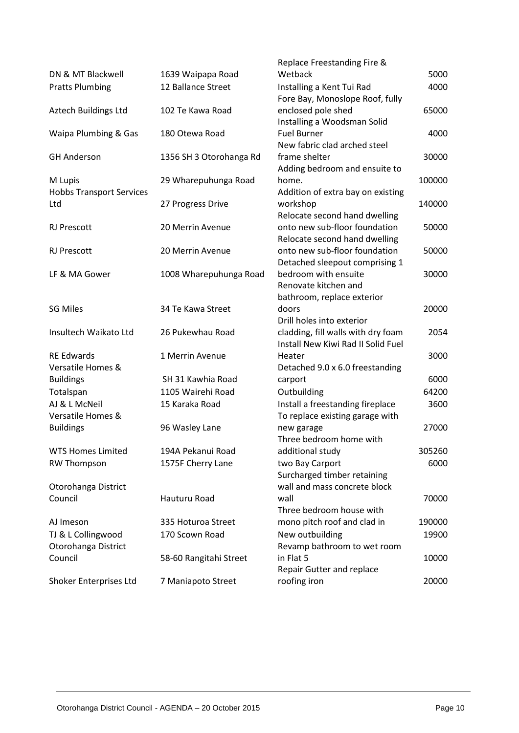|                                 |                         | Replace Freestanding Fire &        |        |
|---------------------------------|-------------------------|------------------------------------|--------|
| DN & MT Blackwell               | 1639 Waipapa Road       | Wetback                            | 5000   |
| <b>Pratts Plumbing</b>          | 12 Ballance Street      | Installing a Kent Tui Rad          | 4000   |
|                                 |                         | Fore Bay, Monoslope Roof, fully    |        |
| Aztech Buildings Ltd            | 102 Te Kawa Road        | enclosed pole shed                 | 65000  |
|                                 |                         | Installing a Woodsman Solid        |        |
| Waipa Plumbing & Gas            | 180 Otewa Road          | <b>Fuel Burner</b>                 | 4000   |
|                                 |                         | New fabric clad arched steel       |        |
| <b>GH Anderson</b>              | 1356 SH 3 Otorohanga Rd | frame shelter                      | 30000  |
|                                 |                         | Adding bedroom and ensuite to      |        |
| M Lupis                         | 29 Wharepuhunga Road    | home.                              | 100000 |
| <b>Hobbs Transport Services</b> |                         | Addition of extra bay on existing  |        |
| Ltd                             | 27 Progress Drive       | workshop                           | 140000 |
|                                 |                         | Relocate second hand dwelling      |        |
| <b>RJ Prescott</b>              | 20 Merrin Avenue        | onto new sub-floor foundation      | 50000  |
|                                 |                         | Relocate second hand dwelling      |        |
| <b>RJ Prescott</b>              | 20 Merrin Avenue        | onto new sub-floor foundation      | 50000  |
|                                 |                         | Detached sleepout comprising 1     |        |
| LF & MA Gower                   | 1008 Wharepuhunga Road  | bedroom with ensuite               | 30000  |
|                                 |                         | Renovate kitchen and               |        |
|                                 |                         | bathroom, replace exterior         |        |
| <b>SG Miles</b>                 | 34 Te Kawa Street       | doors                              | 20000  |
|                                 |                         | Drill holes into exterior          |        |
| Insultech Waikato Ltd           | 26 Pukewhau Road        | cladding, fill walls with dry foam | 2054   |
|                                 |                         | Install New Kiwi Rad II Solid Fuel |        |
| <b>RE Edwards</b>               | 1 Merrin Avenue         | Heater                             | 3000   |
| Versatile Homes &               |                         | Detached 9.0 x 6.0 freestanding    |        |
| <b>Buildings</b>                | SH 31 Kawhia Road       | carport                            | 6000   |
| Totalspan                       | 1105 Wairehi Road       | Outbuilding                        | 64200  |
| AJ & L McNeil                   | 15 Karaka Road          | Install a freestanding fireplace   | 3600   |
| Versatile Homes &               |                         | To replace existing garage with    |        |
| <b>Buildings</b>                | 96 Wasley Lane          | new garage                         | 27000  |
|                                 |                         | Three bedroom home with            |        |
| <b>WTS Homes Limited</b>        | 194A Pekanui Road       | additional study                   | 305260 |
| <b>RW Thompson</b>              | 1575F Cherry Lane       | two Bay Carport                    | 6000   |
|                                 |                         | Surcharged timber retaining        |        |
| Otorohanga District             |                         | wall and mass concrete block       |        |
| Council                         | Hauturu Road            | wall                               | 70000  |
|                                 |                         | Three bedroom house with           |        |
| AJ Imeson                       | 335 Hoturoa Street      | mono pitch roof and clad in        | 190000 |
| TJ & L Collingwood              | 170 Scown Road          | New outbuilding                    | 19900  |
| Otorohanga District             |                         | Revamp bathroom to wet room        |        |
| Council                         | 58-60 Rangitahi Street  | in Flat 5                          | 10000  |
|                                 |                         | Repair Gutter and replace          |        |
| Shoker Enterprises Ltd          | 7 Maniapoto Street      | roofing iron                       | 20000  |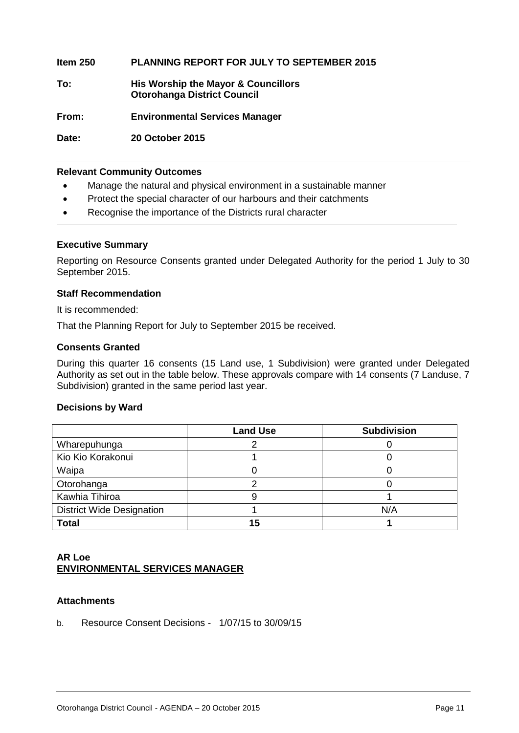**Item 250 PLANNING REPORT FOR JULY TO SEPTEMBER 2015**

**To: His Worship the Mayor & Councillors Otorohanga District Council**

**From: Environmental Services Manager**

**Date: 20 October 2015**

#### **Relevant Community Outcomes**

- Manage the natural and physical environment in a sustainable manner
- Protect the special character of our harbours and their catchments
- Recognise the importance of the Districts rural character

#### **Executive Summary**

Reporting on Resource Consents granted under Delegated Authority for the period 1 July to 30 September 2015.

#### **Staff Recommendation**

It is recommended:

That the Planning Report for July to September 2015 be received.

#### **Consents Granted**

During this quarter 16 consents (15 Land use, 1 Subdivision) were granted under Delegated Authority as set out in the table below. These approvals compare with 14 consents (7 Landuse, 7 Subdivision) granted in the same period last year.

#### **Decisions by Ward**

|                                  | <b>Land Use</b> | <b>Subdivision</b> |
|----------------------------------|-----------------|--------------------|
| Wharepuhunga                     |                 |                    |
| Kio Kio Korakonui                |                 |                    |
| Waipa                            |                 |                    |
| Otorohanga                       |                 |                    |
| Kawhia Tihiroa                   |                 |                    |
| <b>District Wide Designation</b> |                 | N/A                |
| <b>Total</b>                     | 15              |                    |

#### **AR Loe ENVIRONMENTAL SERVICES MANAGER**

#### **Attachments**

b. Resource Consent Decisions - 1/07/15 to 30/09/15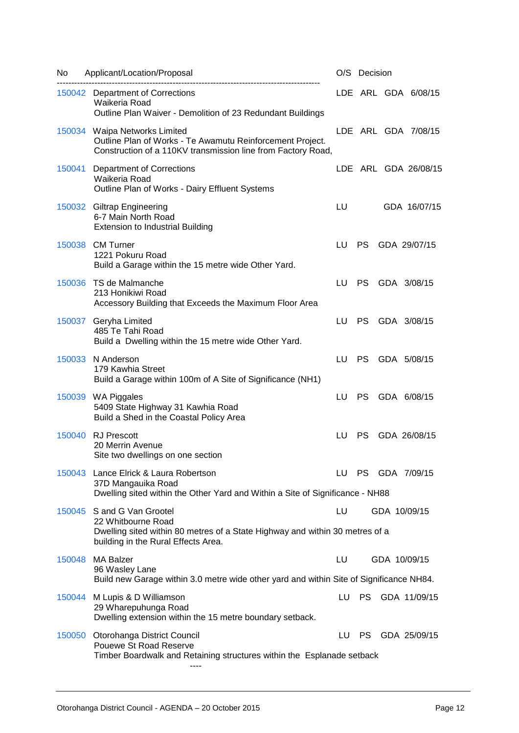| No     | Applicant/Location/Proposal                                                                                                                                             |     | O/S Decision |                      |
|--------|-------------------------------------------------------------------------------------------------------------------------------------------------------------------------|-----|--------------|----------------------|
|        | 150042 Department of Corrections<br>Waikeria Road<br>Outline Plan Waiver - Demolition of 23 Redundant Buildings                                                         |     |              | LDE ARL GDA 6/08/15  |
|        | 150034 Waipa Networks Limited<br>Outline Plan of Works - Te Awamutu Reinforcement Project.<br>Construction of a 110KV transmission line from Factory Road,              |     |              | LDE ARL GDA 7/08/15  |
| 150041 | <b>Department of Corrections</b><br>Waikeria Road<br>Outline Plan of Works - Dairy Effluent Systems                                                                     |     |              | LDE ARL GDA 26/08/15 |
|        | 150032 Giltrap Engineering<br>6-7 Main North Road<br><b>Extension to Industrial Building</b>                                                                            | LU  |              | GDA 16/07/15         |
|        | 150038 CM Turner<br>1221 Pokuru Road<br>Build a Garage within the 15 metre wide Other Yard.                                                                             | LU  | <b>PS</b>    | GDA 29/07/15         |
|        | 150036 TS de Malmanche<br>213 Honikiwi Road<br>Accessory Building that Exceeds the Maximum Floor Area                                                                   | LU  | PS.          | GDA 3/08/15          |
|        | 150037 Geryha Limited<br>485 Te Tahi Road<br>Build a Dwelling within the 15 metre wide Other Yard.                                                                      | LU  | <b>PS</b>    | GDA 3/08/15          |
|        | 150033 N Anderson<br>179 Kawhia Street<br>Build a Garage within 100m of A Site of Significance (NH1)                                                                    | LU  | PS.          | GDA 5/08/15          |
|        | 150039 WA Piggales<br>5409 State Highway 31 Kawhia Road<br>Build a Shed in the Coastal Policy Area                                                                      | LU. | <b>PS</b>    | GDA 6/08/15          |
|        | 150040 RJ Prescott<br>20 Merrin Avenue<br>Site two dwellings on one section                                                                                             | LU  | PS.          | GDA 26/08/15         |
|        | 150043 Lance Elrick & Laura Robertson<br>37D Mangauika Road<br>Dwelling sited within the Other Yard and Within a Site of Significance - NH88                            | LU. |              | PS GDA 7/09/15       |
|        | 150045 S and G Van Grootel<br>22 Whitbourne Road<br>Dwelling sited within 80 metres of a State Highway and within 30 metres of a<br>building in the Rural Effects Area. | LU  |              | GDA 10/09/15         |
|        | 150048 MA Balzer<br>96 Wasley Lane<br>Build new Garage within 3.0 metre wide other yard and within Site of Significance NH84.                                           | LU  |              | GDA 10/09/15         |
|        | 150044 M Lupis & D Williamson<br>29 Wharepuhunga Road<br>Dwelling extension within the 15 metre boundary setback.                                                       | LU  | <b>PS</b>    | GDA 11/09/15         |
|        | 150050 Otorohanga District Council<br>Pouewe St Road Reserve<br>Timber Boardwalk and Retaining structures within the Esplanade setback                                  | LU  | PS.          | GDA 25/09/15         |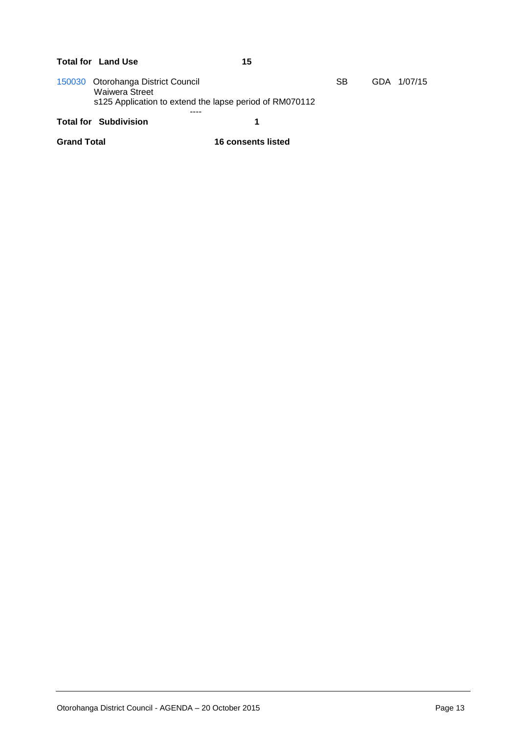### Total for Land Use 15 [150030](http://ncs-unix.otodc.govt.nz/cgi-bin/reg/rg6ep?150030) Otorohanga District Council SB GDA 1/07/15

Waiwera Street s125 Application to extend the lapse period of RM070112 ----

#### **Total for Subdivision 1**

**Grand Total 16 consents listed**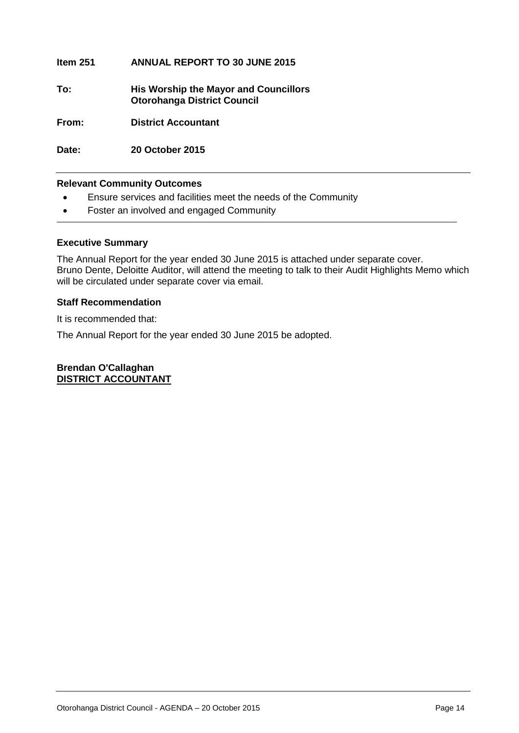#### **Item 251 ANNUAL REPORT TO 30 JUNE 2015**

**To: His Worship the Mayor and Councillors Otorohanga District Council**

**From: District Accountant**

**Date: 20 October 2015**

#### **Relevant Community Outcomes**

- Ensure services and facilities meet the needs of the Community
- Foster an involved and engaged Community

#### **Executive Summary**

The Annual Report for the year ended 30 June 2015 is attached under separate cover. Bruno Dente, Deloitte Auditor, will attend the meeting to talk to their Audit Highlights Memo which will be circulated under separate cover via email.

#### **Staff Recommendation**

It is recommended that:

The Annual Report for the year ended 30 June 2015 be adopted.

**Brendan O'Callaghan DISTRICT ACCOUNTANT**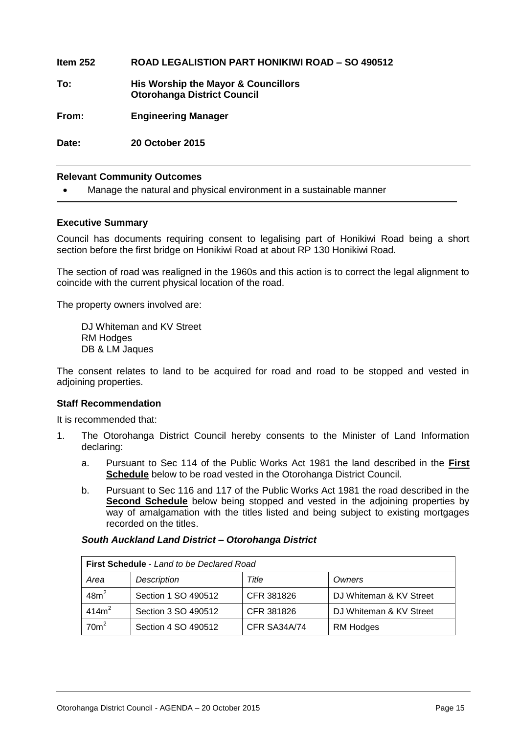**Item 252 ROAD LEGALISTION PART HONIKIWI ROAD – SO 490512 To: His Worship the Mayor & Councillors Otorohanga District Council From: Engineering Manager Date: 20 October 2015**

#### **Relevant Community Outcomes**

Manage the natural and physical environment in a sustainable manner

#### **Executive Summary**

Council has documents requiring consent to legalising part of Honikiwi Road being a short section before the first bridge on Honikiwi Road at about RP 130 Honikiwi Road.

The section of road was realigned in the 1960s and this action is to correct the legal alignment to coincide with the current physical location of the road.

The property owners involved are:

DJ Whiteman and KV Street RM Hodges DB & LM Jaques

The consent relates to land to be acquired for road and road to be stopped and vested in adjoining properties.

#### **Staff Recommendation**

It is recommended that:

- 1. The Otorohanga District Council hereby consents to the Minister of Land Information declaring:
	- a. Pursuant to Sec 114 of the Public Works Act 1981 the land described in the **First Schedule** below to be road vested in the Otorohanga District Council.
	- b. Pursuant to Sec 116 and 117 of the Public Works Act 1981 the road described in the **Second Schedule** below being stopped and vested in the adjoining properties by way of amalgamation with the titles listed and being subject to existing mortgages recorded on the titles.

#### *South Auckland Land District – Otorohanga District*

| <b>First Schedule</b> - Land to be Declared Road |                     |              |                         |  |
|--------------------------------------------------|---------------------|--------------|-------------------------|--|
| Area                                             | Description         | Title        | Owners                  |  |
| 48m <sup>2</sup>                                 | Section 1 SO 490512 | CFR 381826   | DJ Whiteman & KV Street |  |
| 414m <sup>2</sup>                                | Section 3 SO 490512 | CFR 381826   | DJ Whiteman & KV Street |  |
| 70 <sup>m²</sup>                                 | Section 4 SO 490512 | CFR SA34A/74 | <b>RM Hodges</b>        |  |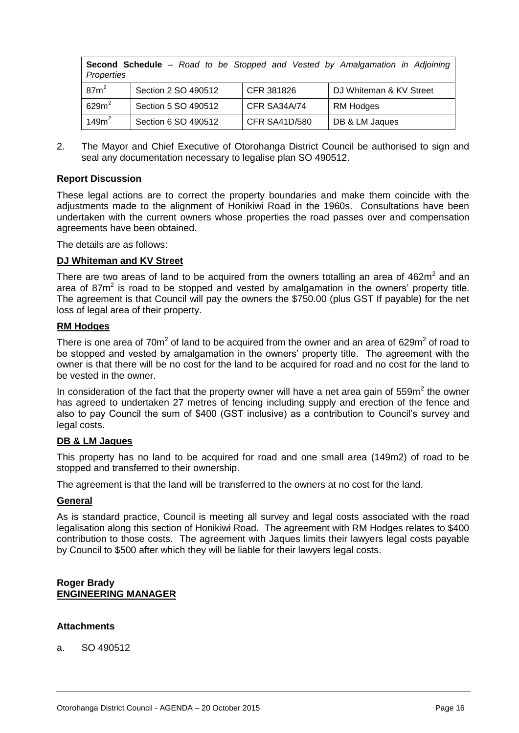| <b>Second Schedule</b> – Road to be Stopped and Vested by Amalgamation in Adjoining<br>Properties |                     |                      |                         |  |  |
|---------------------------------------------------------------------------------------------------|---------------------|----------------------|-------------------------|--|--|
| $87m^2$                                                                                           | Section 2 SO 490512 | CFR 381826           | DJ Whiteman & KV Street |  |  |
| $629m^2$                                                                                          | Section 5 SO 490512 | CFR SA34A/74         | <b>RM Hodges</b>        |  |  |
| 149m <sup>2</sup>                                                                                 | Section 6 SO 490512 | <b>CFR SA41D/580</b> | DB & LM Jaques          |  |  |

2. The Mayor and Chief Executive of Otorohanga District Council be authorised to sign and seal any documentation necessary to legalise plan SO 490512.

#### **Report Discussion**

These legal actions are to correct the property boundaries and make them coincide with the adjustments made to the alignment of Honikiwi Road in the 1960s. Consultations have been undertaken with the current owners whose properties the road passes over and compensation agreements have been obtained.

The details are as follows:

#### **DJ Whiteman and KV Street**

There are two areas of land to be acquired from the owners totalling an area of 462 $m<sup>2</sup>$  and an area of 87 $m<sup>2</sup>$  is road to be stopped and vested by amalgamation in the owners' property title. The agreement is that Council will pay the owners the \$750.00 (plus GST If payable) for the net loss of legal area of their property.

#### **RM Hodges**

There is one area of 70m<sup>2</sup> of land to be acquired from the owner and an area of 629m<sup>2</sup> of road to be stopped and vested by amalgamation in the owners' property title. The agreement with the owner is that there will be no cost for the land to be acquired for road and no cost for the land to be vested in the owner.

In consideration of the fact that the property owner will have a net area gain of 559 $m^2$  the owner has agreed to undertaken 27 metres of fencing including supply and erection of the fence and also to pay Council the sum of \$400 (GST inclusive) as a contribution to Council's survey and legal costs.

#### **DB & LM Jaques**

This property has no land to be acquired for road and one small area (149m2) of road to be stopped and transferred to their ownership.

The agreement is that the land will be transferred to the owners at no cost for the land.

#### **General**

As is standard practice, Council is meeting all survey and legal costs associated with the road legalisation along this section of Honikiwi Road. The agreement with RM Hodges relates to \$400 contribution to those costs. The agreement with Jaques limits their lawyers legal costs payable by Council to \$500 after which they will be liable for their lawyers legal costs.

#### **Roger Brady ENGINEERING MANAGER**

#### **Attachments**

a. SO 490512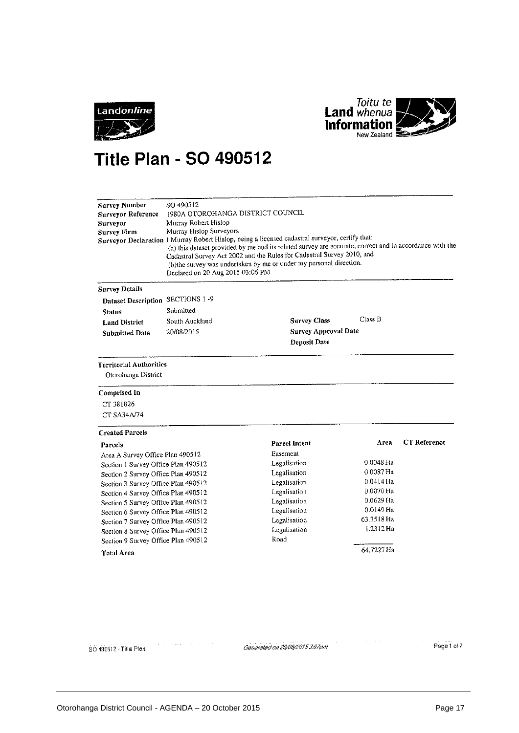



# **Title Plan - SO 490512**

| SO 490512<br><b>Survey Number</b><br>1980A OTOROHANGA DISTRICT COUNCIL<br>Surveyor Reference<br>Murray Robert Hislop<br>Surveyor<br>Murray Hislop Surveyors<br><b>Survey Firm</b><br>Surveyor Declaration I Murray Robert Hislop, being a licensed cadastral surveyor, certify that:<br>(a) this dataset provided by me and its related survey are accurate, correct and in accordance with the<br>Cadastral Survey Act 2002 and the Rules for Cadastral Survey 2010, and<br>(b) the survey was undertaken by me or under my personal direction.<br>Declared on 20 Aug 2015 03:06 PM |                |                             |             |                     |  |
|--------------------------------------------------------------------------------------------------------------------------------------------------------------------------------------------------------------------------------------------------------------------------------------------------------------------------------------------------------------------------------------------------------------------------------------------------------------------------------------------------------------------------------------------------------------------------------------|----------------|-----------------------------|-------------|---------------------|--|
| <b>Survey Details</b>                                                                                                                                                                                                                                                                                                                                                                                                                                                                                                                                                                |                |                             |             |                     |  |
| Dataset Description SECTIONS 1-9                                                                                                                                                                                                                                                                                                                                                                                                                                                                                                                                                     |                |                             |             |                     |  |
| <b>Status</b>                                                                                                                                                                                                                                                                                                                                                                                                                                                                                                                                                                        | Submitted      |                             |             |                     |  |
| <b>Land District</b>                                                                                                                                                                                                                                                                                                                                                                                                                                                                                                                                                                 | South Auckland | <b>Survey Class</b>         | Class B     |                     |  |
| <b>Submitted Date</b>                                                                                                                                                                                                                                                                                                                                                                                                                                                                                                                                                                | 20/08/2015     | <b>Survey Approval Date</b> |             |                     |  |
|                                                                                                                                                                                                                                                                                                                                                                                                                                                                                                                                                                                      |                | Deposit Date                |             |                     |  |
| <b>Territorial Authorities</b><br>Otorohanga District                                                                                                                                                                                                                                                                                                                                                                                                                                                                                                                                |                |                             |             |                     |  |
| Comprised In                                                                                                                                                                                                                                                                                                                                                                                                                                                                                                                                                                         |                |                             |             |                     |  |
| CT 381826                                                                                                                                                                                                                                                                                                                                                                                                                                                                                                                                                                            |                |                             |             |                     |  |
| CT SA34A/74                                                                                                                                                                                                                                                                                                                                                                                                                                                                                                                                                                          |                |                             |             |                     |  |
| <b>Created Parcels</b>                                                                                                                                                                                                                                                                                                                                                                                                                                                                                                                                                               |                |                             |             |                     |  |
| Parcels                                                                                                                                                                                                                                                                                                                                                                                                                                                                                                                                                                              |                | <b>Parcel Intent</b>        | Area        | <b>CT</b> Reference |  |
| Area A Survey Office Plan 490512                                                                                                                                                                                                                                                                                                                                                                                                                                                                                                                                                     |                | Easement                    |             |                     |  |
| Section 1 Survey Office Plan 490512                                                                                                                                                                                                                                                                                                                                                                                                                                                                                                                                                  |                | Legalisation                | 0.0048 Ha   |                     |  |
| Section 2 Survey Office Plan 490512                                                                                                                                                                                                                                                                                                                                                                                                                                                                                                                                                  |                | Legalisation                | 0.0087 Ha   |                     |  |
| Section 3 Survey Office Plan 490512                                                                                                                                                                                                                                                                                                                                                                                                                                                                                                                                                  |                | Legalisation                | $0.0414$ Ha |                     |  |
| Section 4 Survey Office Plan 490512                                                                                                                                                                                                                                                                                                                                                                                                                                                                                                                                                  |                | Legalisation                | 0.0070 Ha   |                     |  |
| Section 5 Survey Office Plan 490512                                                                                                                                                                                                                                                                                                                                                                                                                                                                                                                                                  |                | Legalisation                | 0.0629 Ha   |                     |  |
| Section 6 Survey Office Plan 490512                                                                                                                                                                                                                                                                                                                                                                                                                                                                                                                                                  |                | Legalisation                | $0.0149$ Ha |                     |  |
| Section 7 Survey Office Plan 490512                                                                                                                                                                                                                                                                                                                                                                                                                                                                                                                                                  |                | Legalisation                | 63.3518 Ha  |                     |  |
| Section 8 Survey Office Plan 490512                                                                                                                                                                                                                                                                                                                                                                                                                                                                                                                                                  |                | Legalisation                | 1.2312 Ha   |                     |  |
| Section 9 Survey Office Plan 490512                                                                                                                                                                                                                                                                                                                                                                                                                                                                                                                                                  |                | Road                        |             |                     |  |
| <b>Total Area</b>                                                                                                                                                                                                                                                                                                                                                                                                                                                                                                                                                                    |                |                             | 64.7227 Ha  |                     |  |

SO 490512 - Title Plan

Generated on 20/08/2015 3:07pm

 $\alpha_{\rm eff}$  , and  $\alpha_{\rm eff}$  , and  $\alpha_{\rm eff}$ 

Page 1 of 7

 $\beta$  ,  $\beta$  ,  $\beta$  , and  $\alpha$ 

 $\sim 1000$   $\mu$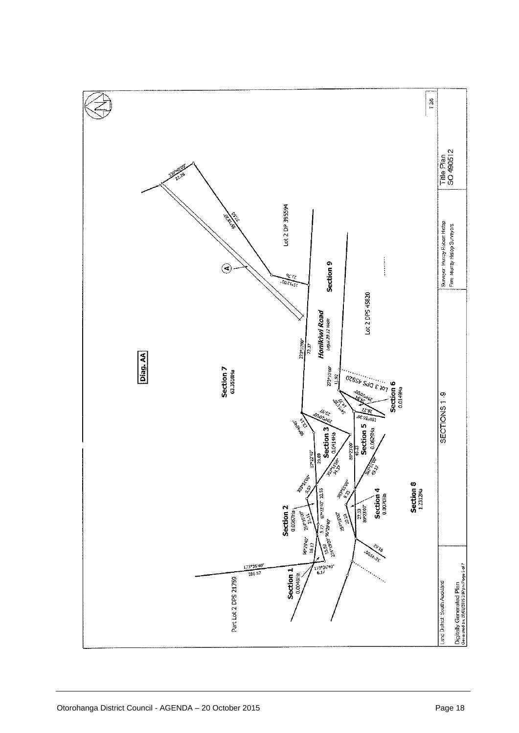